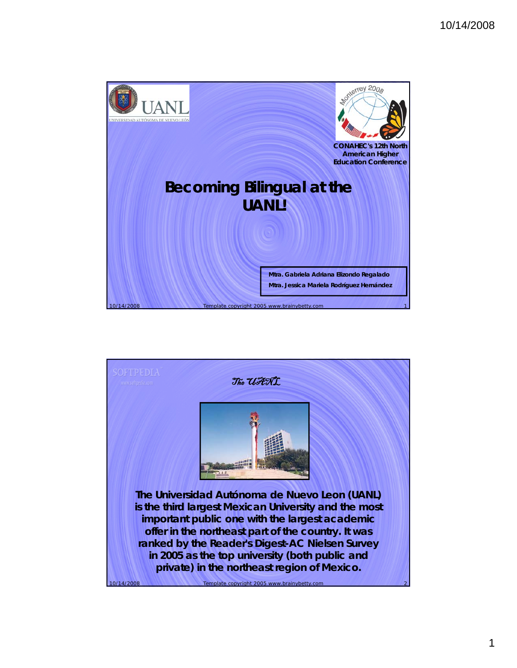

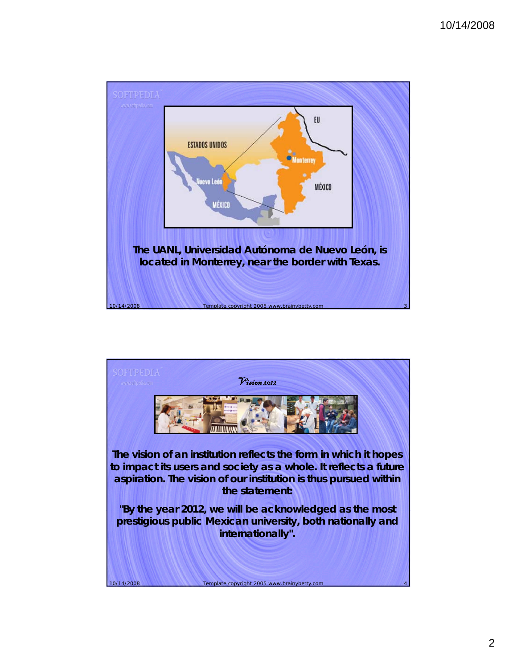## 10/14/2008



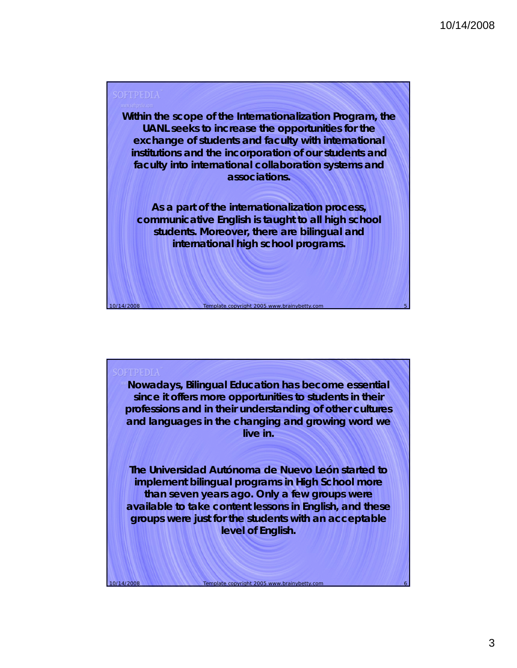

**Nowadays, Bilingual Education has become essential since it offers more opportunities to students in their professions and in their understanding of other cultures and languages in the changing and growing word we**  live in.

**The Universidad Autónoma de Nuevo León started to implement bilingual programs in High School more than seven years ago. Only a few groups were**  available to take content lessons in English, and these **groups were just for the students with an acceptable level of English.** 

Template copyright 2005 www.brainybetty.com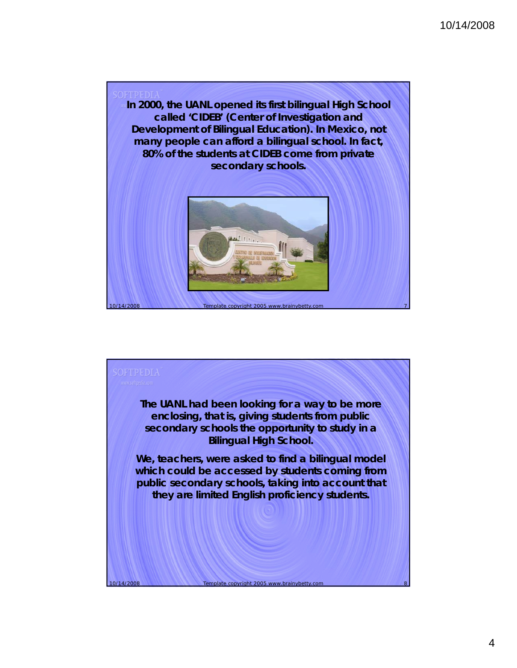

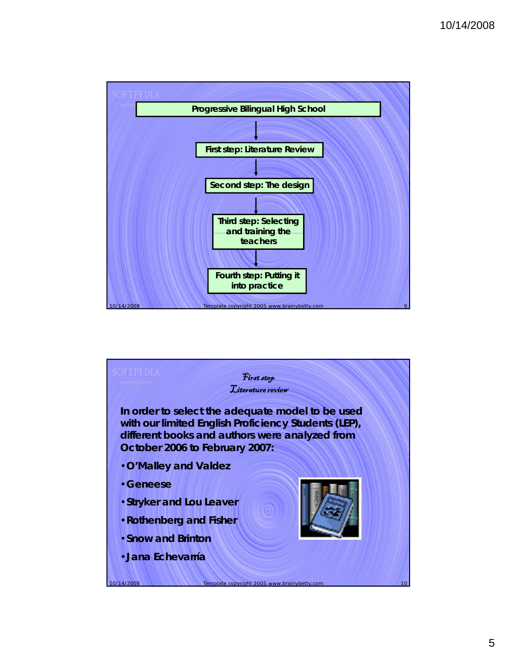



5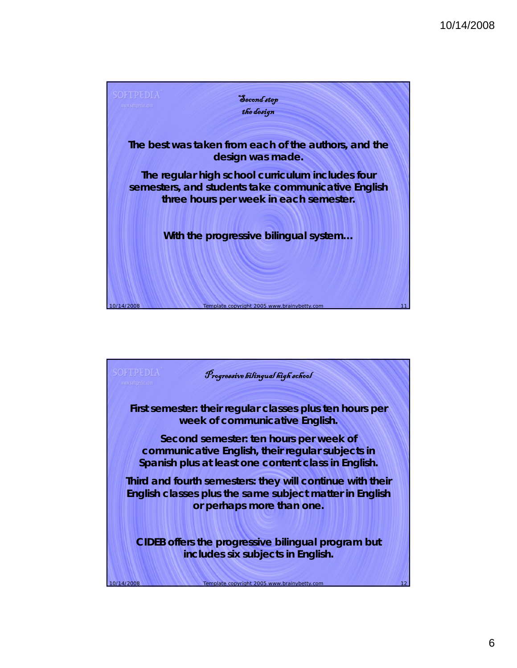

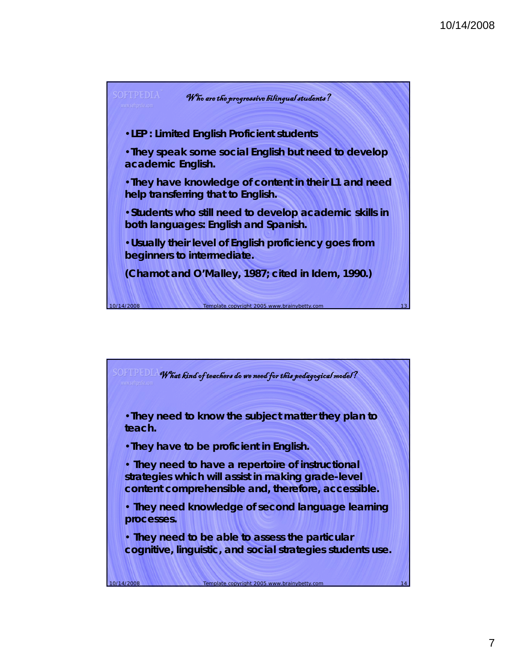

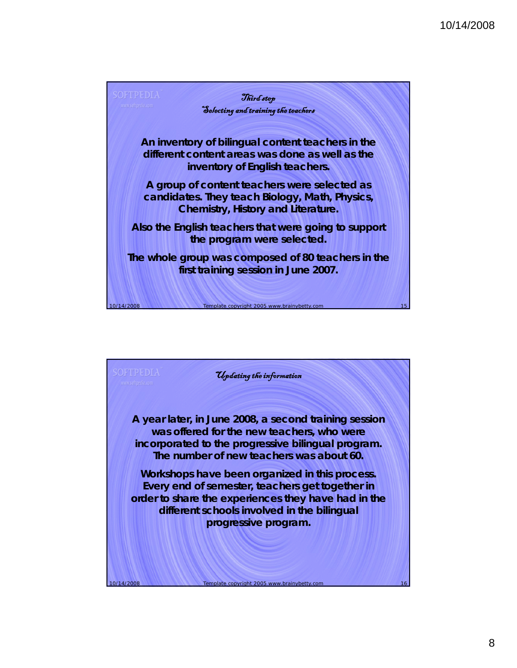

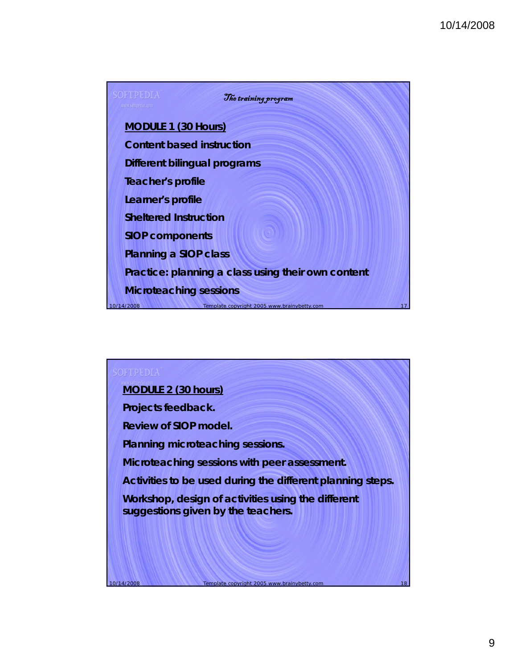

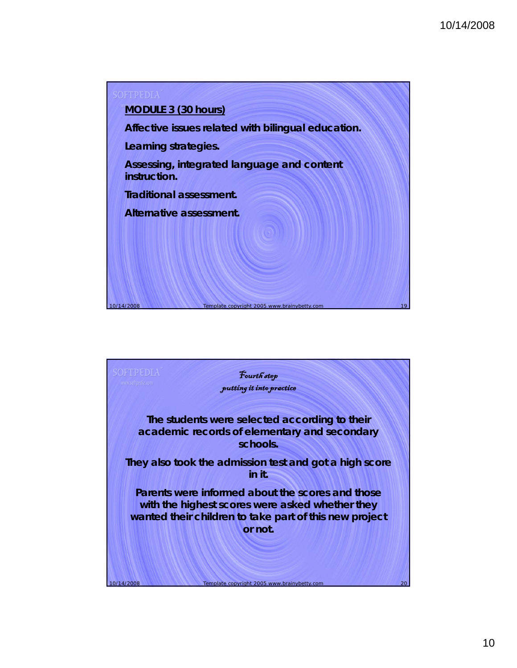

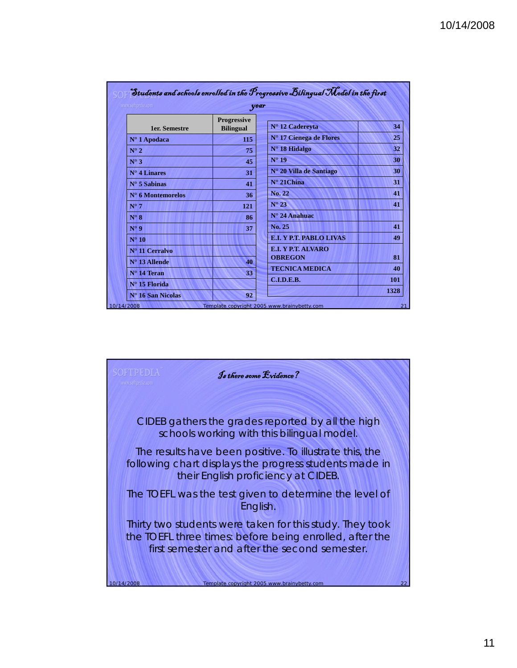| www.softpedia.com<br>year  |                                        |                                |  |  |
|----------------------------|----------------------------------------|--------------------------------|--|--|
| <b>1er.</b> Semestre       | <b>Progressive</b><br><b>Bilingual</b> | N° 12 Cadereyta                |  |  |
| $N^{\circ}$ 1 Apodaca      | 115                                    | N° 17 Cienega de Flores        |  |  |
| $N^{\circ}$ 2              | 75                                     | $N^{\circ}$ 18 Hidalgo         |  |  |
| $N^{\circ}$ 3              | 45                                     | $N^{\circ}$ 19                 |  |  |
| $N^{\circ}$ 4 Linares      | 31                                     | N° 20 Villa de Santiago        |  |  |
| $N^{\circ}$ 5 Sabinas      | 41                                     | $N^{\circ}$ 21 China           |  |  |
| $N^{\circ}$ 6 Montemorelos | 36                                     | No. 22                         |  |  |
| $N^{\circ}$ 7              | 121                                    | $N^{\circ} 23$                 |  |  |
| $N^{\circ} 8$              | 86                                     | $N^{\circ}$ 24 Anahuac         |  |  |
| $N^{\circ}$ 9              | 37                                     | No. 25                         |  |  |
| $N^{\circ} 10$             |                                        | <b>E.I. Y P.T. PABLO LIVAS</b> |  |  |
| N° 11 Cerralvo             |                                        | E.I. Y P.T. ALVARO             |  |  |
| $N^{\circ}$ 13 Allende     | 40                                     | <b>OBREGON</b>                 |  |  |
| $N^{\circ}$ 14 Teran       | 33                                     | <b>TECNICA MEDICA</b>          |  |  |
| $N^{\circ}$ 15 Florida     |                                        | C.L.D.E.B.                     |  |  |

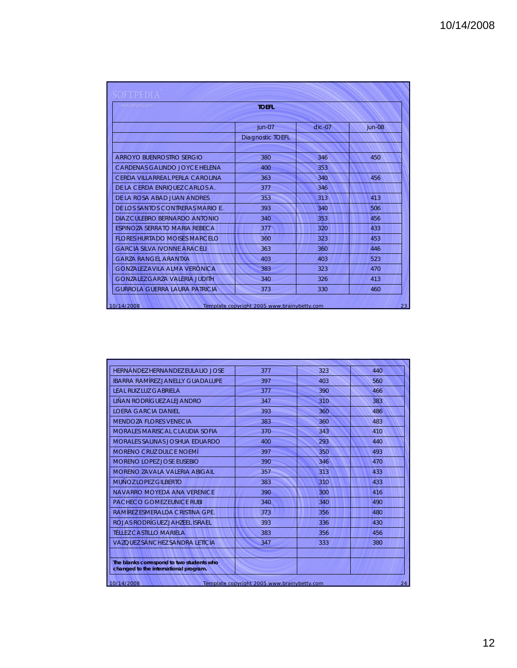| www.softpedia.com                    | <b>TOEFL</b>            |          |          |
|--------------------------------------|-------------------------|----------|----------|
|                                      | jun-07                  | $dic-07$ | $jun-08$ |
|                                      | <b>Diagnostic TOEFL</b> |          |          |
| ARROYO BUENROSTRO SERGIO             | 380                     | 346      | 450      |
| CARDENAS GALINDO JOYCE HELENA        | 400                     | 353      |          |
| CERDA VILLARREAL PERLA CAROLINA      | 363                     | 340      | 456      |
| DE LA CERDA ENRIQUEZ CARLOS A.       | 377                     | 346      |          |
| DE LA ROSA ABAD JUAN ANDRES          | 353                     | 313      | 413      |
| DE LOS SANTOS CONTRERAS MARIO E.     | 393                     | 340      | 506      |
| DIAZ CUI FBRO BERNARDO ANTONIO       | 340                     | 353      | 456      |
| <b>FSPINOZA SERRATO MARIA REBECA</b> | 377                     | 320      | 433      |
| <b>FLORES HURTADO MOISÉS MARCELO</b> | 360                     | 323      | 453      |
| <b>GARCIA SII VA IVONNE ARACELL</b>  | 363                     | 360      | 446      |
| <b>GARZA RANGFI ARANTXA</b>          | 403                     | 403      | 523      |
| <b>GONZALEZ AVILA ALMA VERÓNICA</b>  | 383                     | 323      | 470      |
| <b>GONZALEZ GARZA VALERIA JUDITH</b> | 340                     | 326      | 413      |
| GURROLA GUERRA LAURA PATRICIA        | 373                     | 330      | 460      |

| HERNÁNDEZ HERNANDEZ EULALIO JOSE                                                   | 377 | 323 | 440 |
|------------------------------------------------------------------------------------|-----|-----|-----|
| <b>IBARRA RAMÍREZ JANELLY GUADALUPE</b>                                            | 397 | 403 | 560 |
| <b>IFAI RUIZ LUZ GABRIFI A</b>                                                     | 377 | 390 | 466 |
| LIÑAN RODRÍGUEZ ALEJANDRO                                                          | 347 | 310 | 383 |
| <b>I OFRA GARCIA DANIFI</b>                                                        | 393 | 360 | 486 |
| <b>MENDOZA ELORES VENECIA</b>                                                      | 383 | 360 | 483 |
| <b>MORALES MARISCAL CLAUDIA SOFIA</b>                                              | 370 | 343 | 410 |
| MORALES SALINAS JOSHUA EDUARDO                                                     | 400 | 293 | 440 |
| MORENO CRUZ DUI CE NOEMÍ                                                           | 397 | 350 | 493 |
| <b>MORENO LOPEZ JOSE EUSEBIO</b>                                                   | 390 | 346 | 470 |
| MORENO 7AVAI A VALERIA ABIGAIL                                                     | 357 | 313 | 433 |
| MUÑOZ LOPEZ GILBERTO                                                               | 383 | 310 | 433 |
| NAVARRO MOYFDA ANA VERENICE                                                        | 390 | 300 | 416 |
| <b>PACHECO GOMEZ FUNICE RUBL</b>                                                   | 340 | 340 | 490 |
| RAMÍREZ ESMERAI DA CRISTINA GPE.                                                   | 373 | 356 | 480 |
| ROJAS RODRÍGUEZ JAHZEFI ISRAEL                                                     | 393 | 336 | 430 |
| <b>TÉLLEZ CASTILLO MARIELA</b>                                                     | 383 | 356 | 456 |
| VAZOUEZ SÁNCHEZ SANDRA I ETICIA                                                    | 347 | 333 | 380 |
| The blanks correspond to two students who<br>changed to the international program. |     |     |     |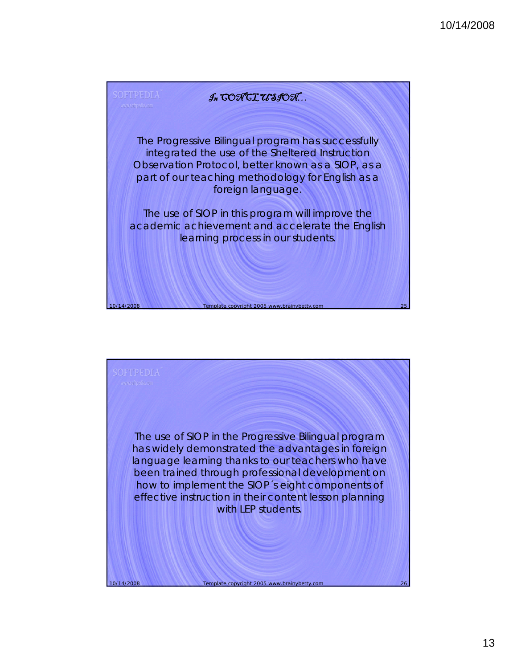